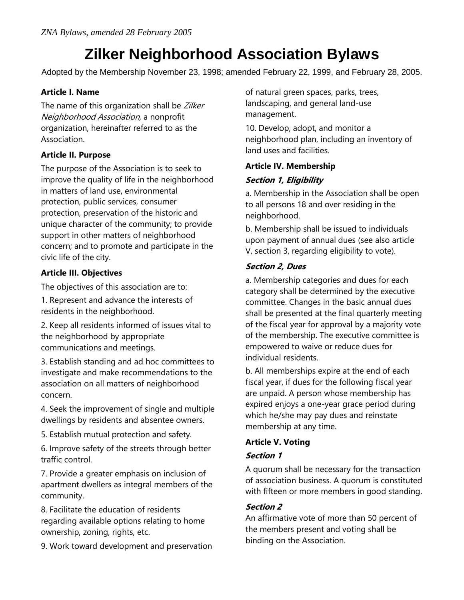# **Zilker Neighborhood Association Bylaws**

Adopted by the Membership November 23, 1998; amended February 22, 1999, and February 28, 2005.

# **Article I. Name**

The name of this organization shall be Zilker Neighborhood Association, a nonprofit organization, hereinafter referred to as the Association.

## **Article II. Purpose**

The purpose of the Association is to seek to improve the quality of life in the neighborhood in matters of land use, environmental protection, public services, consumer protection, preservation of the historic and unique character of the community; to provide support in other matters of neighborhood concern; and to promote and participate in the civic life of the city.

# **Article III. Objectives**

The objectives of this association are to:

1. Represent and advance the interests of residents in the neighborhood.

2. Keep all residents informed of issues vital to the neighborhood by appropriate communications and meetings.

3. Establish standing and ad hoc committees to investigate and make recommendations to the association on all matters of neighborhood concern.

4. Seek the improvement of single and multiple dwellings by residents and absentee owners.

5. Establish mutual protection and safety.

6. Improve safety of the streets through better traffic control.

7. Provide a greater emphasis on inclusion of apartment dwellers as integral members of the community.

8. Facilitate the education of residents regarding available options relating to home ownership, zoning, rights, etc.

9. Work toward development and preservation

of natural green spaces, parks, trees, landscaping, and general land-use management.

10. Develop, adopt, and monitor a neighborhood plan, including an inventory of land uses and facilities.

# **Article IV. Membership**

# **Section 1, Eligibility**

a. Membership in the Association shall be open to all persons 18 and over residing in the neighborhood.

b. Membership shall be issued to individuals upon payment of annual dues (see also article V, section 3, regarding eligibility to vote).

# **Section 2, Dues**

a. Membership categories and dues for each category shall be determined by the executive committee. Changes in the basic annual dues shall be presented at the final quarterly meeting of the fiscal year for approval by a majority vote of the membership. The executive committee is empowered to waive or reduce dues for individual residents.

b. All memberships expire at the end of each fiscal year, if dues for the following fiscal year are unpaid. A person whose membership has expired enjoys a one-year grace period during which he/she may pay dues and reinstate membership at any time.

# **Article V. Voting**

# **Section 1**

A quorum shall be necessary for the transaction of association business. A quorum is constituted with fifteen or more members in good standing.

# **Section 2**

An affirmative vote of more than 50 percent of the members present and voting shall be binding on the Association.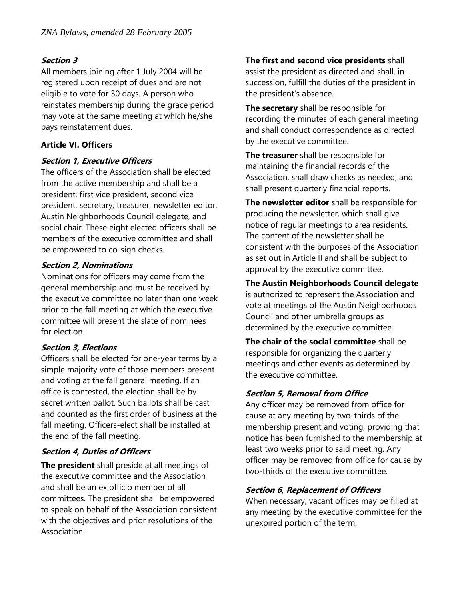## **Section 3**

All members joining after 1 July 2004 will be registered upon receipt of dues and are not eligible to vote for 30 days. A person who reinstates membership during the grace period may vote at the same meeting at which he/she pays reinstatement dues.

## **Article VI. Officers**

#### **Section 1, Executive Officers**

The officers of the Association shall be elected from the active membership and shall be a president, first vice president, second vice president, secretary, treasurer, newsletter editor, Austin Neighborhoods Council delegate, and social chair. These eight elected officers shall be members of the executive committee and shall be empowered to co-sign checks.

## **Section 2, Nominations**

Nominations for officers may come from the general membership and must be received by the executive committee no later than one week prior to the fall meeting at which the executive committee will present the slate of nominees for election.

## **Section 3, Elections**

Officers shall be elected for one-year terms by a simple majority vote of those members present and voting at the fall general meeting. If an office is contested, the election shall be by secret written ballot. Such ballots shall be cast and counted as the first order of business at the fall meeting. Officers-elect shall be installed at the end of the fall meeting.

## **Section 4, Duties of Officers**

**The president** shall preside at all meetings of the executive committee and the Association and shall be an ex officio member of all committees. The president shall be empowered to speak on behalf of the Association consistent with the objectives and prior resolutions of the Association.

**The first and second vice presidents** shall assist the president as directed and shall, in succession, fulfill the duties of the president in the president's absence.

**The secretary** shall be responsible for recording the minutes of each general meeting and shall conduct correspondence as directed by the executive committee.

**The treasurer** shall be responsible for maintaining the financial records of the Association, shall draw checks as needed, and shall present quarterly financial reports.

**The newsletter editor** shall be responsible for producing the newsletter, which shall give notice of regular meetings to area residents. The content of the newsletter shall be consistent with the purposes of the Association as set out in Article II and shall be subject to approval by the executive committee.

**The Austin Neighborhoods Council delegate** is authorized to represent the Association and vote at meetings of the Austin Neighborhoods Council and other umbrella groups as determined by the executive committee.

**The chair of the social committee** shall be responsible for organizing the quarterly meetings and other events as determined by the executive committee.

## **Section 5, Removal from Office**

Any officer may be removed from office for cause at any meeting by two-thirds of the membership present and voting, providing that notice has been furnished to the membership at least two weeks prior to said meeting. Any officer may be removed from office for cause by two-thirds of the executive committee.

## **Section 6, Replacement of Officers**

When necessary, vacant offices may be filled at any meeting by the executive committee for the unexpired portion of the term.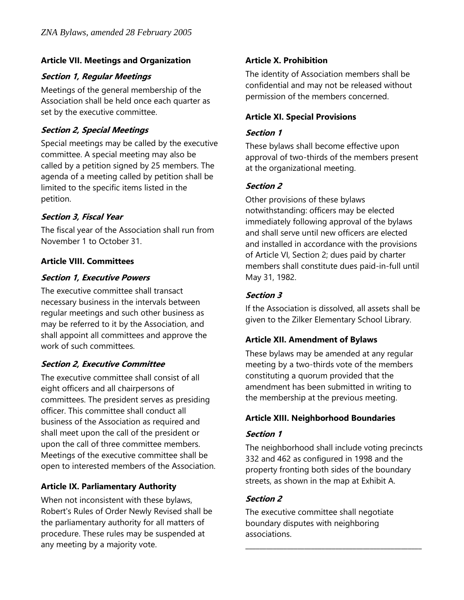## **Article VII. Meetings and Organization**

## **Section 1, Regular Meetings**

Meetings of the general membership of the Association shall be held once each quarter as set by the executive committee.

# **Section 2, Special Meetings**

Special meetings may be called by the executive committee. A special meeting may also be called by a petition signed by 25 members. The agenda of a meeting called by petition shall be limited to the specific items listed in the petition.

# **Section 3, Fiscal Year**

The fiscal year of the Association shall run from November 1 to October 31.

# **Article VIII. Committees**

## **Section 1, Executive Powers**

The executive committee shall transact necessary business in the intervals between regular meetings and such other business as may be referred to it by the Association, and shall appoint all committees and approve the work of such committees.

# **Section 2, Executive Committee**

The executive committee shall consist of all eight officers and all chairpersons of committees. The president serves as presiding officer. This committee shall conduct all business of the Association as required and shall meet upon the call of the president or upon the call of three committee members. Meetings of the executive committee shall be open to interested members of the Association.

# **Article IX. Parliamentary Authority**

When not inconsistent with these bylaws, Robert's Rules of Order Newly Revised shall be the parliamentary authority for all matters of procedure. These rules may be suspended at any meeting by a majority vote.

# **Article X. Prohibition**

The identity of Association members shall be confidential and may not be released without permission of the members concerned.

## **Article XI. Special Provisions**

## **Section 1**

These bylaws shall become effective upon approval of two-thirds of the members present at the organizational meeting.

# **Section 2**

Other provisions of these bylaws notwithstanding: officers may be elected immediately following approval of the bylaws and shall serve until new officers are elected and installed in accordance with the provisions of Article VI, Section 2; dues paid by charter members shall constitute dues paid-in-full until May 31, 1982.

# **Section 3**

If the Association is dissolved, all assets shall be given to the Zilker Elementary School Library.

# **Article XII. Amendment of Bylaws**

These bylaws may be amended at any regular meeting by a two-thirds vote of the members constituting a quorum provided that the amendment has been submitted in writing to the membership at the previous meeting.

# **Article XIII. Neighborhood Boundaries**

## **Section 1**

The neighborhood shall include voting precincts 332 and 462 as configured in 1998 and the property fronting both sides of the boundary streets, as shown in the map at Exhibit A.

# **Section 2**

The executive committee shall negotiate boundary disputes with neighboring associations.

\_\_\_\_\_\_\_\_\_\_\_\_\_\_\_\_\_\_\_\_\_\_\_\_\_\_\_\_\_\_\_\_\_\_\_\_\_\_\_\_\_\_\_\_\_\_\_\_\_\_\_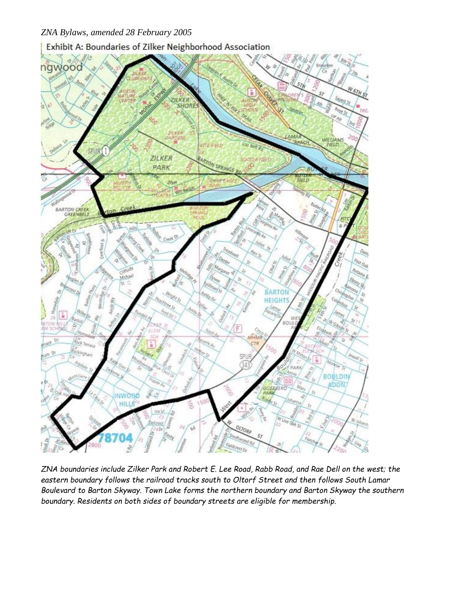*ZNA Bylaws, amended 28 February 2005*

Exhibit A: Boundaries of Zilker Neighborhood Association



*ZNA boundaries include Zilker Park and Robert E. Lee Road, Rabb Road, and Rae Dell on the west; the eastern boundary follows the railroad tracks south to Oltorf Street and then follows South Lamar Boulevard to Barton Skyway. Town Lake forms the northern boundary and Barton Skyway the southern boundary. Residents on both sides of boundary streets are eligible for membership.*